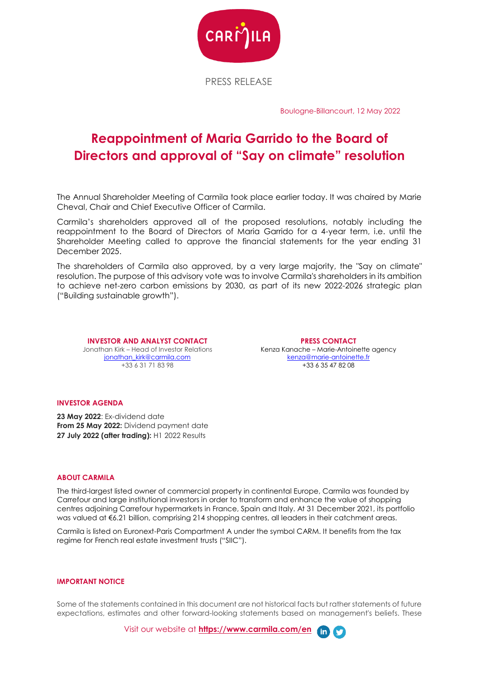

PRESS RELEASE

Boulogne-Billancourt, 12 May 2022

# **Reappointment of Maria Garrido to the Board of Directors and approval of "Say on climate" resolution**

The Annual Shareholder Meeting of Carmila took place earlier today. It was chaired by Marie Cheval, Chair and Chief Executive Officer of Carmila.

Carmila's shareholders approved all of the proposed resolutions, notably including the reappointment to the Board of Directors of Maria Garrido for a 4-year term, i.e. until the Shareholder Meeting called to approve the financial statements for the year ending 31 December 2025.

The shareholders of Carmila also approved, by a very large majority, the "Say on climate" resolution. The purpose of this advisory vote was to involve Carmila's shareholders in its ambition to achieve net-zero carbon emissions by 2030, as part of its new 2022-2026 strategic plan ("Building sustainable growth").

**INVESTOR AND ANALYST CONTACT** Jonathan Kirk – Head of Investor Relations jonathan\_kirk@carmila.com +33 6 31 71 83 98

**PRESS CONTACT** Kenza Kanache – Marie-Antoinette agency kenza@marie-antoinette.fr +33 6 35 47 82 08

## **INVESTOR AGENDA**

**23 May 2022**: Ex-dividend date **From 25 May 2022:** Dividend payment date **27 July 2022 (after trading):** H1 2022 Results

#### **ABOUT CARMILA**

The third-largest listed owner of commercial property in continental Europe, Carmila was founded by Carrefour and large institutional investors in order to transform and enhance the value of shopping centres adjoining Carrefour hypermarkets in France, Spain and Italy. At 31 December 2021, its portfolio was valued at €6.21 billion, comprising 214 shopping centres, all leaders in their catchment areas.

Carmila is listed on Euronext-Paris Compartment A under the symbol CARM. It benefits from the tax regime for French real estate investment trusts ("SIIC").

### **IMPORTANT NOTICE**

Some of the statements contained in this document are not historical facts but rather statements of future expectations, estimates and other forward-looking statements based on management's beliefs. These

Visit our website at **[https://www.carmila.com/en](https://www.carmila.com/en/)**